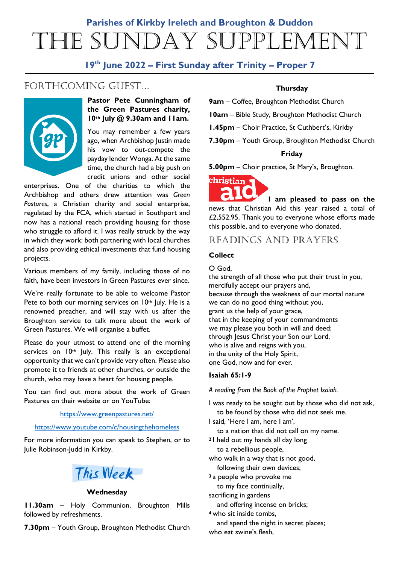# **Parishes of Kirkby Ireleth and Broughton & Duddon** The Sunday Supplement

# **19th June 2022 – First Sunday after Trinity – Proper 7**

# FORTHCOMING GUEST...



# **Pastor Pete Cunningham of the Green Pastures charity, 10th July @ 9.30am and 11am.**

You may remember a few years ago, when Archbishop Justin made his vow to out-compete the payday lender Wonga. At the same time, the church had a big push on credit unions and other social

enterprises. One of the charities to which the Archbishop and others drew attention was *Green Pastures*, a Christian charity and social enterprise, regulated by the FCA, which started in Southport and now has a national reach providing housing for those who struggle to afford it. I was really struck by the way in which they work: both partnering with local churches and also providing ethical investments that fund housing projects.

Various members of my family, including those of no faith, have been investors in Green Pastures ever since.

We're really fortunate to be able to welcome Pastor Pete to both our morning services on 10<sup>th</sup> July. He is a renowned preacher, and will stay with us after the Broughton service to talk more about the work of Green Pastures. We will organise a buffet.

Please do your utmost to attend one of the morning services on 10<sup>th</sup> July. This really is an exceptional opportunity that we can't provide very often. Please also promote it to friends at other churches, or outside the church, who may have a heart for housing people.

You can find out more about the work of Green Pastures on their website or on YouTube:

### <https://www.greenpastures.net/>

### <https://www.youtube.com/c/housingthehomeless>

For more information you can speak to Stephen, or to Julie Robinson-Judd in Kirkby.



### **Wednesday**

**11.30am** – Holy Communion, Broughton Mills followed by refreshments.

**7.30pm** – Youth Group, Broughton Methodist Church

# **Thursday**

**9am** – Coffee, Broughton Methodist Church

**10am** – Bible Study, Broughton Methodist Church

**1.45pm** – Choir Practice, St Cuthbert's, Kirkby

**7.30pm** – Youth Group, Broughton Methodist Church

### **Friday**

**5.00pm** – Choir practice, St Mary's, Broughton.



**I am pleased to pass on the**  news that Christian Aid this year raised a total of £2,552.95. Thank you to everyone whose efforts made this possible, and to everyone who donated.

# READINGS AND PRAYERS

### **Collect**

O God,

the strength of all those who put their trust in you, mercifully accept our prayers and, because through the weakness of our mortal nature we can do no good thing without you, grant us the help of your grace, that in the keeping of your commandments we may please you both in will and deed; through Jesus Christ your Son our Lord, who is alive and reigns with you, in the unity of the Holy Spirit, one God, now and for ever.

### **Isaiah 65:1-9**

*A reading from the Book of the Prophet Isaiah.*

- I was ready to be sought out by those who did not ask, to be found by those who did not seek me.
- I said, 'Here I am, here I am', to a nation that did not call on my name.
- **<sup>2</sup>** I held out my hands all day long to a rebellious people,
- who walk in a way that is not good, following their own devices;
- **<sup>3</sup>** a people who provoke me
- to my face continually,

sacrificing in gardens

- and offering incense on bricks;
- **<sup>4</sup>** who sit inside tombs,
- and spend the night in secret places; who eat swine's flesh,